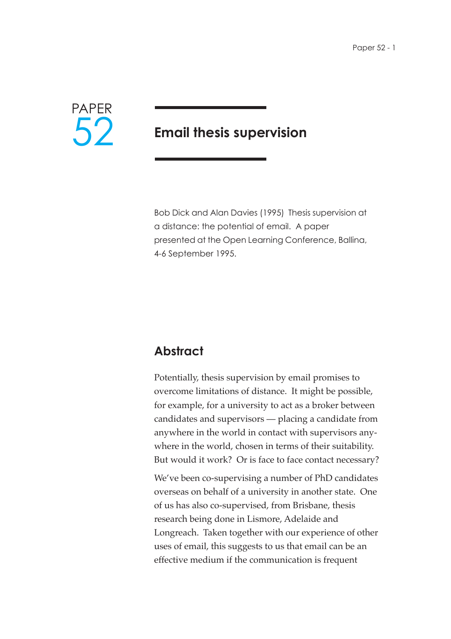

# **Email thesis supervision**

Bob Dick and Alan Davies (1995) Thesis supervision at a distance: the potential of email. A paper presented at the Open Learning Conference, Ballina, 4-6 September 1995.

# **Abstract**

Potentially, thesis supervision by email promises to overcome limitations of distance. It might be possible, for example, for a university to act as a broker between candidates and supervisors — placing a candidate from anywhere in the world in contact with supervisors anywhere in the world, chosen in terms of their suitability. But would it work? Or is face to face contact necessary?

We've been co-supervising a number of PhD candidates overseas on behalf of a university in another state. One of us has also co-supervised, from Brisbane, thesis research being done in Lismore, Adelaide and Longreach. Taken together with our experience of other uses of email, this suggests to us that email can be an effective medium if the communication is frequent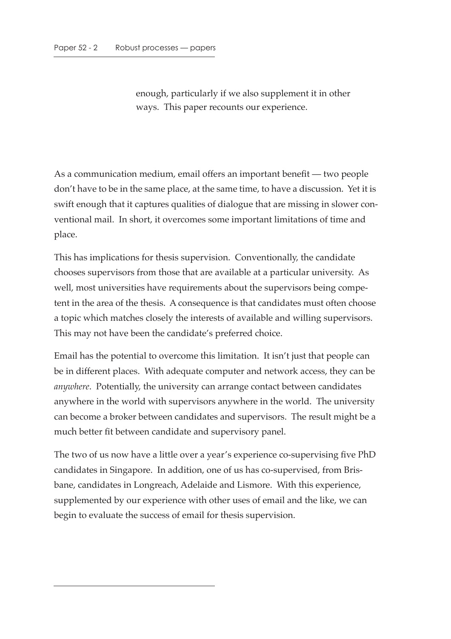enough, particularly if we also supplement it in other ways. This paper recounts our experience.

As a communication medium, email offers an important benefit — two people don't have to be in the same place, at the same time, to have a discussion. Yet it is swift enough that it captures qualities of dialogue that are missing in slower conventional mail. In short, it overcomes some important limitations of time and place.

This has implications for thesis supervision. Conventionally, the candidate chooses supervisors from those that are available at a particular university. As well, most universities have requirements about the supervisors being competent in the area of the thesis. A consequence is that candidates must often choose a topic which matches closely the interests of available and willing supervisors. This may not have been the candidate's preferred choice.

Email has the potential to overcome this limitation. It isn't just that people can be in different places. With adequate computer and network access, they can be *anywhere*. Potentially, the university can arrange contact between candidates anywhere in the world with supervisors anywhere in the world. The university can become a broker between candidates and supervisors. The result might be a much better fit between candidate and supervisory panel.

The two of us now have a little over a year's experience co-supervising five PhD candidates in Singapore. In addition, one of us has co-supervised, from Brisbane, candidates in Longreach, Adelaide and Lismore. With this experience, supplemented by our experience with other uses of email and the like, we can begin to evaluate the success of email for thesis supervision.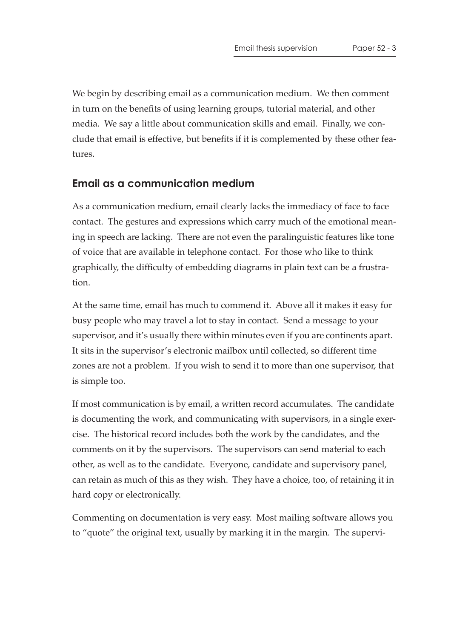We begin by describing email as a communication medium. We then comment in turn on the benefits of using learning groups, tutorial material, and other media. We say a little about communication skills and email. Finally, we conclude that email is effective, but benefits if it is complemented by these other features.

#### **Email as a communication medium**

As a communication medium, email clearly lacks the immediacy of face to face contact. The gestures and expressions which carry much of the emotional meaning in speech are lacking. There are not even the paralinguistic features like tone of voice that are available in telephone contact. For those who like to think graphically, the difficulty of embedding diagrams in plain text can be a frustration.

At the same time, email has much to commend it. Above all it makes it easy for busy people who may travel a lot to stay in contact. Send a message to your supervisor, and it's usually there within minutes even if you are continents apart. It sits in the supervisor's electronic mailbox until collected, so different time zones are not a problem. If you wish to send it to more than one supervisor, that is simple too.

If most communication is by email, a written record accumulates. The candidate is documenting the work, and communicating with supervisors, in a single exercise. The historical record includes both the work by the candidates, and the comments on it by the supervisors. The supervisors can send material to each other, as well as to the candidate. Everyone, candidate and supervisory panel, can retain as much of this as they wish. They have a choice, too, of retaining it in hard copy or electronically.

Commenting on documentation is very easy. Most mailing software allows you to "quote" the original text, usually by marking it in the margin. The supervi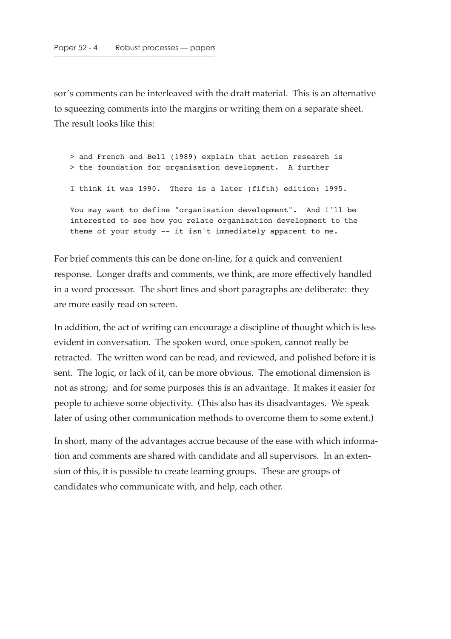sor's comments can be interleaved with the draft material. This is an alternative to squeezing comments into the margins or writing them on a separate sheet. The result looks like this:

> and French and Bell (1989) explain that action research is > the foundation for organisation development. A further I think it was 1990. There is a later (fifth) edition: 1995. You may want to define "organisation development". And I'll be interested to see how you relate organisation development to the theme of your study -- it isn't immediately apparent to me.

For brief comments this can be done on-line, for a quick and convenient response. Longer drafts and comments, we think, are more effectively handled in a word processor. The short lines and short paragraphs are deliberate: they are more easily read on screen.

In addition, the act of writing can encourage a discipline of thought which is less evident in conversation. The spoken word, once spoken, cannot really be retracted. The written word can be read, and reviewed, and polished before it is sent. The logic, or lack of it, can be more obvious. The emotional dimension is not as strong; and for some purposes this is an advantage. It makes it easier for people to achieve some objectivity. (This also has its disadvantages. We speak later of using other communication methods to overcome them to some extent.)

In short, many of the advantages accrue because of the ease with which information and comments are shared with candidate and all supervisors. In an extension of this, it is possible to create learning groups. These are groups of candidates who communicate with, and help, each other.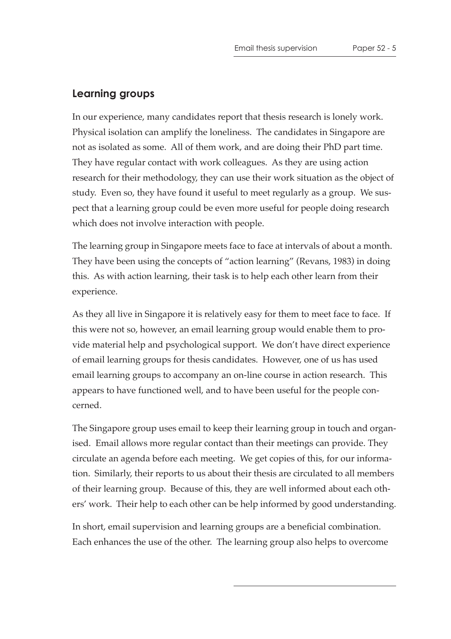#### **Learning groups**

In our experience, many candidates report that thesis research is lonely work. Physical isolation can amplify the loneliness. The candidates in Singapore are not as isolated as some. All of them work, and are doing their PhD part time. They have regular contact with work colleagues. As they are using action research for their methodology, they can use their work situation as the object of study. Even so, they have found it useful to meet regularly as a group. We suspect that a learning group could be even more useful for people doing research which does not involve interaction with people.

The learning group in Singapore meets face to face at intervals of about a month. They have been using the concepts of "action learning" (Revans, 1983) in doing this. As with action learning, their task is to help each other learn from their experience.

As they all live in Singapore it is relatively easy for them to meet face to face. If this were not so, however, an email learning group would enable them to provide material help and psychological support. We don't have direct experience of email learning groups for thesis candidates. However, one of us has used email learning groups to accompany an on-line course in action research. This appears to have functioned well, and to have been useful for the people concerned.

The Singapore group uses email to keep their learning group in touch and organised. Email allows more regular contact than their meetings can provide. They circulate an agenda before each meeting. We get copies of this, for our information. Similarly, their reports to us about their thesis are circulated to all members of their learning group. Because of this, they are well informed about each others' work. Their help to each other can be help informed by good understanding.

In short, email supervision and learning groups are a beneficial combination. Each enhances the use of the other. The learning group also helps to overcome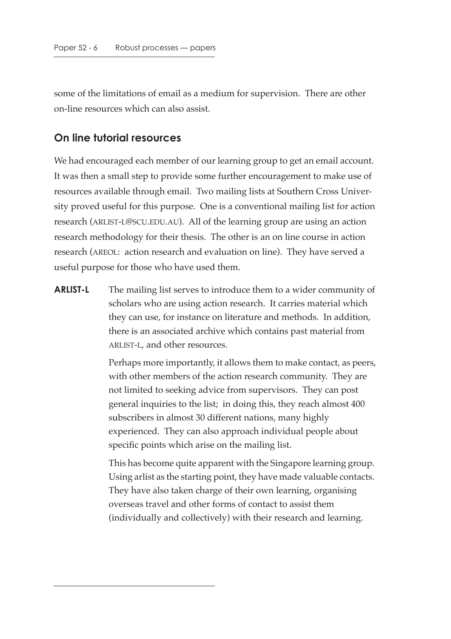some of the limitations of email as a medium for supervision. There are other on-line resources which can also assist.

#### **On line tutorial resources**

We had encouraged each member of our learning group to get an email account. It was then a small step to provide some further encouragement to make use of resources available through email. Two mailing lists at Southern Cross University proved useful for this purpose. One is a conventional mailing list for action research (ARLIST-L@SCU.EDU.AU). All of the learning group are using an action research methodology for their thesis. The other is an on line course in action research (AREOL: action research and evaluation on line). They have served a useful purpose for those who have used them.

**ARLIST-L** The mailing list serves to introduce them to a wider community of scholars who are using action research. It carries material which they can use, for instance on literature and methods. In addition, there is an associated archive which contains past material from ARLIST-L, and other resources.

> Perhaps more importantly, it allows them to make contact, as peers, with other members of the action research community. They are not limited to seeking advice from supervisors. They can post general inquiries to the list; in doing this, they reach almost 400 subscribers in almost 30 different nations, many highly experienced. They can also approach individual people about specific points which arise on the mailing list.

> This has become quite apparent with the Singapore learning group. Using arlist as the starting point, they have made valuable contacts. They have also taken charge of their own learning, organising overseas travel and other forms of contact to assist them (individually and collectively) with their research and learning.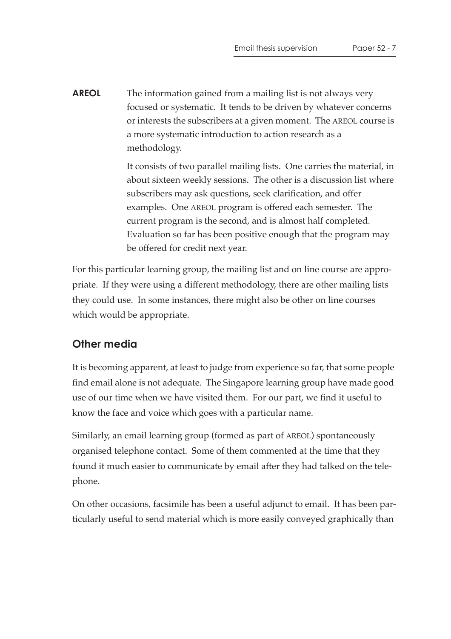**AREOL** The information gained from a mailing list is not always very focused or systematic. It tends to be driven by whatever concerns or interests the subscribers at a given moment. The AREOL course is a more systematic introduction to action research as a methodology.

> It consists of two parallel mailing lists. One carries the material, in about sixteen weekly sessions. The other is a discussion list where subscribers may ask questions, seek clarification, and offer examples. One AREOL program is offered each semester. The current program is the second, and is almost half completed. Evaluation so far has been positive enough that the program may be offered for credit next year.

For this particular learning group, the mailing list and on line course are appropriate. If they were using a different methodology, there are other mailing lists they could use. In some instances, there might also be other on line courses which would be appropriate.

## **Other media**

It is becoming apparent, at least to judge from experience so far, that some people find email alone is not adequate. The Singapore learning group have made good use of our time when we have visited them. For our part, we find it useful to know the face and voice which goes with a particular name.

Similarly, an email learning group (formed as part of AREOL) spontaneously organised telephone contact. Some of them commented at the time that they found it much easier to communicate by email after they had talked on the telephone.

On other occasions, facsimile has been a useful adjunct to email. It has been particularly useful to send material which is more easily conveyed graphically than